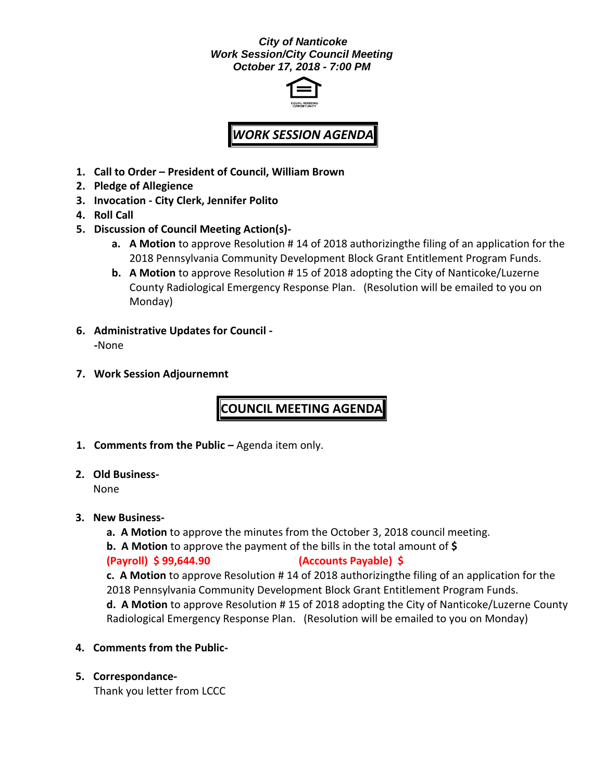### *City of Nanticoke Work Session/City Council Meeting October 17, 2018 - 7:00 PM*



# *WORK SESSION AGENDA*

- **1. Call to Order – President of Council, William Brown**
- **2. Pledge of Allegience**
- **3. Invocation - City Clerk, Jennifer Polito**
- **4. Roll Call**
- **5. Discussion of Council Meeting Action(s)**
	- **a. A Motion** to approve Resolution # 14 of 2018 authorizingthe filing of an application for the 2018 Pennsylvania Community Development Block Grant Entitlement Program Funds.
	- **b. A Motion** to approve Resolution # 15 of 2018 adopting the City of Nanticoke/Luzerne County Radiological Emergency Response Plan. (Resolution will be emailed to you on Monday)
- **6. Administrative Updates for Council - -**None
- **7. Work Session Adjournemnt**

**COUNCIL MEETING AGENDA**

- **1. Comments from the Public –** Agenda item only.
- **2. Old Business-**

None

- **3. New Business**
	- **a. A Motion** to approve the minutes from the October 3, 2018 council meeting.
	- **b. A Motion** to approve the payment of the bills in the total amount of **\$**

## **(Payroll) \$ 99,644.90 (Accounts Payable) \$**

**c. A Motion** to approve Resolution # 14 of 2018 authorizingthe filing of an application for the 2018 Pennsylvania Community Development Block Grant Entitlement Program Funds. **d. A Motion** to approve Resolution # 15 of 2018 adopting the City of Nanticoke/Luzerne County Radiological Emergency Response Plan. (Resolution will be emailed to you on Monday)

- **4. Comments from the Public-**
- **5. Correspondance-**

Thank you letter from LCCC